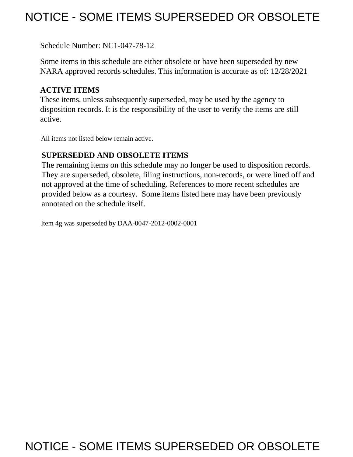## NOTICE - SOME ITEMS SUPERSEDED OR OBSOLETE

Schedule Number: NC1-047-78-12

 Some items in this schedule are either obsolete or have been superseded by new NARA approved records schedules. This information is accurate as of: 12/28/2021

## **ACTIVE ITEMS**

 These items, unless subsequently superseded, may be used by the agency to disposition records. It is the responsibility of the user to verify the items are still active.

All items not listed below remain active.

## **SUPERSEDED AND OBSOLETE ITEMS**

 The remaining items on this schedule may no longer be used to disposition records. not approved at the time of scheduling. References to more recent schedules are provided below as a courtesy. Some items listed here may have been previously They are superseded, obsolete, filing instructions, non-records, or were lined off and annotated on the schedule itself.

Item 4g was superseded by DAA-0047-2012-0002-0001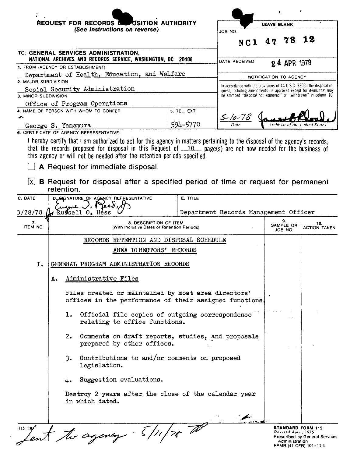|                      | REQUEST FOR RECORDS CONDITION AUTHORITY                                                                                                                    |                 |                                                                                                                                       | <b>LEAVE BLANK</b>                                                |                                       |
|----------------------|------------------------------------------------------------------------------------------------------------------------------------------------------------|-----------------|---------------------------------------------------------------------------------------------------------------------------------------|-------------------------------------------------------------------|---------------------------------------|
|                      | (See Instructions on reverse)                                                                                                                              |                 | JOB NO.                                                                                                                               |                                                                   |                                       |
|                      |                                                                                                                                                            |                 | N C 1                                                                                                                                 | 47 78                                                             | 12                                    |
|                      | TO: GENERAL SERVICES ADMINISTRATION,<br>NATIONAL ARCHIVES AND RECORDS SERVICE, WASHINGTON, DC                                                              | 20408           |                                                                                                                                       |                                                                   |                                       |
|                      | 1. FROM (AGENCY OR ESTABLISHMENT)                                                                                                                          |                 | DATE RECEIVED                                                                                                                         | 24 APR 1978                                                       |                                       |
|                      | Department of Health, Education, and Welfare                                                                                                               |                 |                                                                                                                                       | NOTIFICATION TO AGENCY                                            |                                       |
| 2. MAJOR SUBDIVISION |                                                                                                                                                            |                 | In accordance with the provisions of 44 U.S.C. 3303a the disposal re-                                                                 |                                                                   |                                       |
| 3. MINOR SUBDIVISION | Social Security Administration                                                                                                                             |                 | quest, including amendments, is approved except for items that may<br>be stamped "disposal not approved" or "withdrawn" in column 10. |                                                                   |                                       |
|                      | Office of Program Operations                                                                                                                               |                 |                                                                                                                                       |                                                                   |                                       |
|                      | 4. NAME OF PERSON WITH WHOM TO CONFER                                                                                                                      | 5. TEL. EXT.    |                                                                                                                                       |                                                                   |                                       |
| يعتبر                |                                                                                                                                                            |                 | $5 - 10 - 78$<br>Date                                                                                                                 |                                                                   |                                       |
|                      | George S. Yamamura<br>6. CERTIFICATE OF AGENCY REPRESENTATIVE                                                                                              | 594-5770        |                                                                                                                                       | Archivist of the United States                                    |                                       |
|                      | A Request for immediate disposal.<br>$\vert x \vert$ <b>B</b> Request for disposal after a specified period of time or request for permanent<br>retention. |                 |                                                                                                                                       |                                                                   |                                       |
| C. DATE<br>3/28/78   | D. SIGNATURE OF AGENCY REPRESENTATIVE<br>k Russell 0. Hess                                                                                                 | <b>E. TITLE</b> | Department Records Management Officer                                                                                                 |                                                                   |                                       |
| 7.<br>ITEM NO.       | 8. DESCRIPTION OF ITEM<br>(With Inclusive Dates or Retention Periods)                                                                                      |                 |                                                                                                                                       | 9.<br>SAMPLE OR<br>JOB NO.                                        | 10.<br><b>ACTION TAKEN</b>            |
|                      | RECORDS RETENTION AND DISPOSAL SCHEDULE                                                                                                                    |                 |                                                                                                                                       |                                                                   |                                       |
|                      | AREA DIRECTORS' RECORDS                                                                                                                                    |                 |                                                                                                                                       |                                                                   |                                       |
| Ι.                   | GENERAL PROGRAM ADMINISTRATION RECORDS                                                                                                                     |                 |                                                                                                                                       |                                                                   |                                       |
|                      | Administrative Files<br>Α.                                                                                                                                 |                 |                                                                                                                                       |                                                                   |                                       |
|                      | Files created or maintained by most area directors'<br>offices in the performance of their assigned functions.                                             |                 |                                                                                                                                       |                                                                   |                                       |
|                      | Official file copies of outgoing correspondence<br>ı.<br>relating to office functions.                                                                     |                 |                                                                                                                                       |                                                                   |                                       |
|                      | 2.<br>Comments on draft reports, studies, and proposals<br>prepared by other offices.                                                                      |                 |                                                                                                                                       |                                                                   |                                       |
|                      | Contributions to and/or comments on proposed<br>3.<br>legislation.                                                                                         |                 |                                                                                                                                       |                                                                   |                                       |
|                      | Suggestion evaluations.<br>4.                                                                                                                              |                 |                                                                                                                                       |                                                                   |                                       |
|                      | Destroy 2 years after the close of the calendar year<br>in which dated.                                                                                    |                 |                                                                                                                                       |                                                                   |                                       |
| $115 - 107$          | ent the agency - 5/11/78                                                                                                                                   |                 |                                                                                                                                       | <b>STANDARD FORM 115</b><br>Revised April, 1975<br>Administration | <b>Prescribed by General Services</b> |

Revised April, 1975<br>Prescribed by General Services<br>Administration<br>FPMR (41 CFR) 101-11.4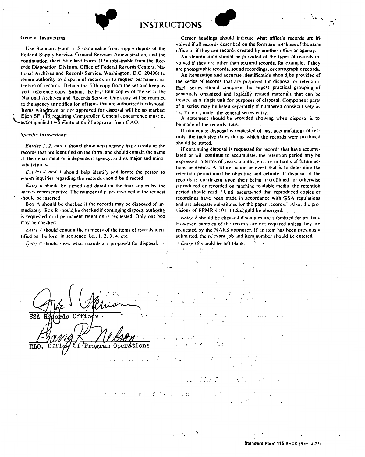. . **INSTRUCTIONS** 



Use Standard Form 115 (obtainable from supply depots of the Federal Supply Service. General Services Administration) and the continuation sheet Standard Form 115a (obtainable from the Records Disposition Division. Office of Federal Records Centers. National Archives and Records Service. Washington. D.C. 20408) to obtain authority to dispose of records or to request permanent retention of records. Detach the fifth copy from the set and keep as your reference copy. Submit the first four copies of the set to the National Archives and Records Service. One copy will be returned to the agency as notification of items that are authorized for disposal. Items withdrawn or not approved for disposal will be so marked. Each SF, 115. requiring Comptroller General concurrence must be accompanied by a notification of approval from GAO.

## *Specific Instructions:*

*Entries I, 2, and 3* should show what agency has custody of the records that are identified on the form. and should contain the name of the department or independent agency. and its major and minor subdivisions.

*Entries 4 and 5* should help identify and locate the person to whom inquiries regarding the records should be directed.

*Entry 6* should be signed and dated on the four copies by the agency representative. The number of pages involved in the request should be inserted.

Box A should be checked if the records may be disposed of immediately. Box B should be checked if continuing disposal authority is requested or if permanent retention is requested. Only one box may be checked.

*Entry 7* should contain the numbers of the items of records identified on the form in sequence. i.e., 1, 2, 3, 4, etc.

*Entry 8* should show what records are proposed for disposal:  $\cdot$  •

Center headings should indicate what office's records are involved if all records described on the form are not those of the same office or if they are records created by another office or agency.

-

An identification should be provided of the types of records involved if they are other than textural records, for example. if they are photographic records. sound recordings. or cartographic records.

An itemization and accurate identification should be provided of the series of records that are proposed for disposal or retention. Each series should comprise the largest practical grouping of separately organized and logically related materials that can be treated as a single unit for purposes of disposal. Component parts of a series may be listed separately if numbered consecutively as 1a. 1b. etc., under the general series entry.

A statement should be provided showing when disposal is to be made of the records. thus:

If immediate disposal is requested of past accumulations of records. the inclusive dates during which the records were produced should be stated.

If continuing disposal is requested for records that have accumulated or will continue to accumulate. the retention period may be expressed in terms of years. months. etc .. or in terms of future actions or events. A future action or event that is to determine the retention period must be objective and definite. If disposal of the records is contingent upon their being microfilmed. or otherwise reproduced or recorded on machine readable media. the retention period should read: "Until ascertained that reproduced copies or recordings have been made in accordance with GSA regulations and are adequate substitutes for the paper records." Also, the provisions of FPMR §  $101-11.5$ \_should be obser.yed...

*Entry* 9 should be checked if samples are submitted for an item. However. samples of the records are not required unless they are requested by the **N ARS** appraiser. If an item has been previously submitted, the relevant job and item number should be entered.

Entry 10 should be left blank.

 $\mathcal{L}$ 

'

Offic 'Program Operations C, C . *C*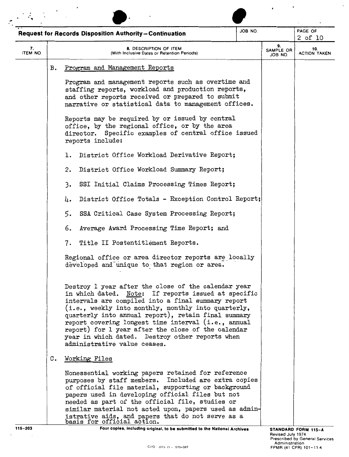|                |                                                                                                                                                                               | <b>Request for Records Disposition Authority-Continuation</b>                                                                                                                                                                                                                                                                                                                                                                                                                  | JOB NO. |                                                                                                                        | PAGE OF<br>$2$ of $10$     |  |
|----------------|-------------------------------------------------------------------------------------------------------------------------------------------------------------------------------|--------------------------------------------------------------------------------------------------------------------------------------------------------------------------------------------------------------------------------------------------------------------------------------------------------------------------------------------------------------------------------------------------------------------------------------------------------------------------------|---------|------------------------------------------------------------------------------------------------------------------------|----------------------------|--|
| 7.<br>ITEM NO. |                                                                                                                                                                               | 8. DESCRIPTION OF ITEM<br>(With Inclusive Dates or Retention Periods)                                                                                                                                                                                                                                                                                                                                                                                                          |         | 9.<br>SAMPLE OR<br>JOB NO.                                                                                             | 10.<br><b>ACTION TAKEN</b> |  |
|                | в.                                                                                                                                                                            | Program and Management Reports                                                                                                                                                                                                                                                                                                                                                                                                                                                 |         |                                                                                                                        |                            |  |
|                |                                                                                                                                                                               | Program and management reports such as overtime and<br>staffing reports, workload and production reports,<br>and other reports received or prepared to submit<br>narrative or statistical data to management offices.                                                                                                                                                                                                                                                          |         |                                                                                                                        |                            |  |
|                | Reports may be required by or issued by central<br>office, by the regional office, or by the area<br>director. Specific examples of central office issued<br>reports include: |                                                                                                                                                                                                                                                                                                                                                                                                                                                                                |         |                                                                                                                        |                            |  |
|                |                                                                                                                                                                               | District Office Workload Derivative Report;<br>ı.                                                                                                                                                                                                                                                                                                                                                                                                                              |         |                                                                                                                        |                            |  |
|                |                                                                                                                                                                               | District Office Workload Summary Report;<br>2.                                                                                                                                                                                                                                                                                                                                                                                                                                 |         |                                                                                                                        |                            |  |
|                |                                                                                                                                                                               | 3.<br>SSI Initial Claims Processing Times Report;                                                                                                                                                                                                                                                                                                                                                                                                                              |         |                                                                                                                        |                            |  |
|                |                                                                                                                                                                               | District Office Totals - Exception Control Report;<br>4.                                                                                                                                                                                                                                                                                                                                                                                                                       |         |                                                                                                                        |                            |  |
|                |                                                                                                                                                                               | 5.<br>SSA Critical Case System Processing Report;                                                                                                                                                                                                                                                                                                                                                                                                                              |         |                                                                                                                        |                            |  |
|                |                                                                                                                                                                               | 6.<br>Average Award Processing Time Report; and                                                                                                                                                                                                                                                                                                                                                                                                                                |         |                                                                                                                        |                            |  |
|                |                                                                                                                                                                               | Title II Postentitlement Reports.<br>7.                                                                                                                                                                                                                                                                                                                                                                                                                                        |         |                                                                                                                        |                            |  |
|                |                                                                                                                                                                               | Regional office or area director reports are locally<br>developed and unique to that region or area.                                                                                                                                                                                                                                                                                                                                                                           |         |                                                                                                                        |                            |  |
|                |                                                                                                                                                                               | Destroy 1 year after the close of the calendar year<br>in which dated. Note: If reports issued at specific<br>intervals are compiled into a final summary report<br>(i.e., weekly into monthly, monthly into quarterly,<br>quarterly into annual report), retain final summary<br>report covering longest time interval (i.e., annual<br>report) for 1 year after the close of the calendar<br>year in which dated. Destroy other reports when<br>administrative value ceases. |         |                                                                                                                        |                            |  |
|                | C.                                                                                                                                                                            | Working Files                                                                                                                                                                                                                                                                                                                                                                                                                                                                  |         |                                                                                                                        |                            |  |
|                |                                                                                                                                                                               | Nonessential working papers retained for reference<br>purposes by staff members. Included are extra copies<br>of official file material, supporting or background<br>papers used in developing official files but not<br>needed as part of the official file, studies or<br>similar material not acted upon, papers used as admin-<br>istrative aids, and papers that do not serve as a<br>basis for official action.                                                          |         |                                                                                                                        |                            |  |
| 115-203        |                                                                                                                                                                               | Four copies, including original, to be submitted to the National Archives<br>GPO: 1975 O - 579-387                                                                                                                                                                                                                                                                                                                                                                             |         | STANDARD FORM 115-A<br>Revised July 1974<br>Prescribed by General Services<br>Administration<br>FPMR (41 CFR) 101-11.4 |                            |  |

 $\bar{\Delta}$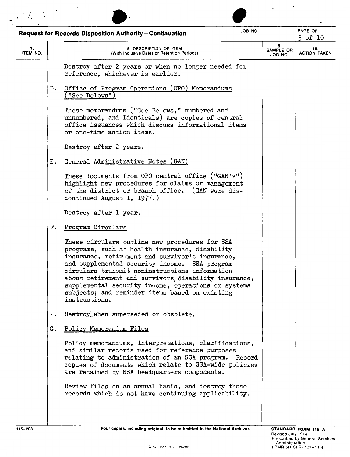|                |    | <b>Request for Records Disposition Authority-Continuation</b>                                                                                                                                                                                                                                                                                                                                                                             | JOB NO.                    |                            | PAGE OF<br>3 of 10 |  |  |  |
|----------------|----|-------------------------------------------------------------------------------------------------------------------------------------------------------------------------------------------------------------------------------------------------------------------------------------------------------------------------------------------------------------------------------------------------------------------------------------------|----------------------------|----------------------------|--------------------|--|--|--|
| 7.<br>ITEM NO. |    | 8. DESCRIPTION OF ITEM<br>(With Inclusive Dates or Retention Periods)                                                                                                                                                                                                                                                                                                                                                                     | 9.<br>SAMPLE OR<br>JOB NO. | 10.<br><b>ACTION TAKEN</b> |                    |  |  |  |
|                |    | Destroy after 2 years or when no longer needed for<br>reference, whichever is earlier.                                                                                                                                                                                                                                                                                                                                                    |                            |                            |                    |  |  |  |
|                | D. | Office of Program Operations (OPO) Memorandums<br>("See Belows")                                                                                                                                                                                                                                                                                                                                                                          |                            |                            |                    |  |  |  |
|                |    | These memorandums ("See Belows," numbered and<br>unnumbered, and Identicals) are copies of central<br>office issuances which discuss informational items<br>or one-time action items.                                                                                                                                                                                                                                                     |                            |                            |                    |  |  |  |
|                |    | Destroy after 2 years.                                                                                                                                                                                                                                                                                                                                                                                                                    |                            |                            |                    |  |  |  |
|                | Е. | General Administrative Notes (GAN)                                                                                                                                                                                                                                                                                                                                                                                                        |                            |                            |                    |  |  |  |
|                |    | These documents from OPO central office ("GAN's")<br>highlight new procedures for claims or management<br>of the district or branch office. (GAN were dis-<br>continued August 1, 1977.)                                                                                                                                                                                                                                                  |                            |                            |                    |  |  |  |
|                |    | Destroy after 1 year.                                                                                                                                                                                                                                                                                                                                                                                                                     |                            |                            |                    |  |  |  |
|                | F. | Program Circulars                                                                                                                                                                                                                                                                                                                                                                                                                         |                            |                            |                    |  |  |  |
|                |    | These circulars outline new procedures for SSA<br>programs, such as health insurance, disability<br>insurance, retirement and survivor's insurance,<br>and supplemental security income. SSA program<br>circulars transmit noninstructions information<br>about retirement and survivors, disability insurance,<br>supplemental security income, operations or systems<br>subjects; and reminder items based on existing<br>instructions. |                            |                            |                    |  |  |  |
|                |    | Destroy, when superseded or obsolete.                                                                                                                                                                                                                                                                                                                                                                                                     |                            |                            |                    |  |  |  |
|                | G. | Policy Memorandum Files                                                                                                                                                                                                                                                                                                                                                                                                                   |                            |                            |                    |  |  |  |
|                |    | Policy memorandums, interpretations, clarifications,<br>and similar records used for reference purposes<br>relating to administration of an SSA program. Record<br>copies of documents which relate to SSA-wide policies<br>are retained by SSA headquarters components.                                                                                                                                                                  |                            |                            |                    |  |  |  |
|                |    | Review files on an annual basis, and destroy those<br>records which do not have continuing applicability.                                                                                                                                                                                                                                                                                                                                 |                            |                            |                    |  |  |  |
|                |    |                                                                                                                                                                                                                                                                                                                                                                                                                                           |                            |                            |                    |  |  |  |

l,

 $\overline{a}$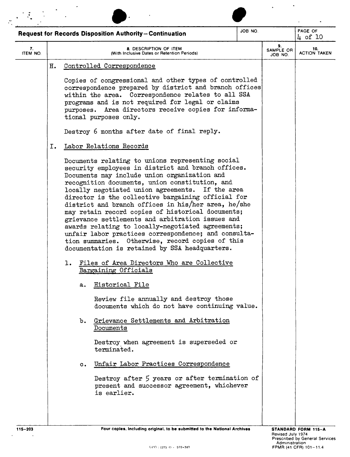|                |                                           | <b>Request for Records Disposition Authority-Continuation</b>                                                                                                                                                                                                                                                                                                                                                                                                                                                                                                                                                                                                                                                                                                                                                                                                                                                                                                                                                                                                                                                                                                                                                                                                                                                                                                                                                                                                                                                                                                                         | JOB NO. |                            | PAGE OF<br>4 of 10         |
|----------------|-------------------------------------------|---------------------------------------------------------------------------------------------------------------------------------------------------------------------------------------------------------------------------------------------------------------------------------------------------------------------------------------------------------------------------------------------------------------------------------------------------------------------------------------------------------------------------------------------------------------------------------------------------------------------------------------------------------------------------------------------------------------------------------------------------------------------------------------------------------------------------------------------------------------------------------------------------------------------------------------------------------------------------------------------------------------------------------------------------------------------------------------------------------------------------------------------------------------------------------------------------------------------------------------------------------------------------------------------------------------------------------------------------------------------------------------------------------------------------------------------------------------------------------------------------------------------------------------------------------------------------------------|---------|----------------------------|----------------------------|
| 7.<br>ITEM NO. |                                           | 8. DESCRIPTION OF ITEM<br>(With Inclusive Dates or Retention Periods)                                                                                                                                                                                                                                                                                                                                                                                                                                                                                                                                                                                                                                                                                                                                                                                                                                                                                                                                                                                                                                                                                                                                                                                                                                                                                                                                                                                                                                                                                                                 |         | 9.<br>SAMPLE OR<br>JOB NO. | 10.<br><b>ACTION TAKEN</b> |
|                | н.<br>Ι.<br>ı.<br>a.<br>b.<br>$c_{\star}$ | Controlled Correspondence<br>Copies of congressional and other types of controlled<br>correspondence prepared by district and branch offices<br>within the area. Correspondence relates to all SSA<br>programs and is not required for legal or claims<br>purposes. Area directors receive copies for informa-<br>tional purposes only.<br>Destroy 6 months after date of final reply.<br>Labor Relations Records<br>Documents relating to unions representing social<br>security employees in district and branch offices.<br>Documents may include union organization and<br>recognition documents, union constitution, and<br>locally negotiated union agreements. If the area<br>director is the collective bargaining official for<br>district and branch offices in his/her area, he/she<br>may retain record copies of historical documents;<br>grievance settlements and arbitration issues and<br>awards relating to locally-negotiated agreements;<br>unfair labor practices correspondence; and consulta-<br>tion summaries. Otherwise, record copies of this<br>documentation is retained by SSA headquarters.<br>Files of Area Directors Who are Collective<br>Bargaining Officials<br>Historical File<br>Review file annually and destroy those<br>documents which do not have continuing value.<br>Grievance Settlements and Arbitration<br>Documents<br>Destroy when agreement is superseded or<br>terminated.<br>Unfair Labor Practices Correspondence<br>Destroy after 5 years or after termination of<br>present and successor agreement, whichever<br>is earlier. |         |                            |                            |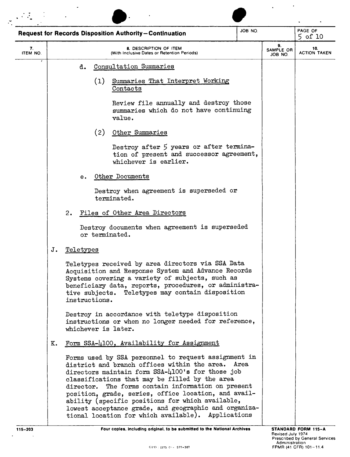|                |    |           |    |               | Request for Records Disposition Authority-Continuation                                                                                                                                                                                                                                                                                                                                                                                                                                           | JOB NO. |                            | PAGE OF<br>$5$ of $10$     |
|----------------|----|-----------|----|---------------|--------------------------------------------------------------------------------------------------------------------------------------------------------------------------------------------------------------------------------------------------------------------------------------------------------------------------------------------------------------------------------------------------------------------------------------------------------------------------------------------------|---------|----------------------------|----------------------------|
| 7.<br>ITEM NO. |    |           |    |               | 8. DESCRIPTION OF ITEM<br>(With Inclusive Dates or Retention Periods)                                                                                                                                                                                                                                                                                                                                                                                                                            |         | 9.<br>SAMPLE OR<br>JOB NO. | 10.<br><b>ACTION TAKEN</b> |
|                |    |           | d. |               | Consultation Summaries                                                                                                                                                                                                                                                                                                                                                                                                                                                                           |         |                            |                            |
|                |    |           |    | (1)           | Summaries That Interpret Working<br>Contacts                                                                                                                                                                                                                                                                                                                                                                                                                                                     |         |                            |                            |
|                |    |           |    |               | Review file annually and destroy those<br>summaries which do not have continuing<br>value.                                                                                                                                                                                                                                                                                                                                                                                                       |         |                            |                            |
|                |    |           |    | (2)           | Other Summaries                                                                                                                                                                                                                                                                                                                                                                                                                                                                                  |         |                            |                            |
|                |    |           |    |               | Destroy after 5 years or after termina-<br>tion of present and successor agreement,<br>whichever is earlier.                                                                                                                                                                                                                                                                                                                                                                                     |         |                            |                            |
|                |    |           | е. |               | Other Documents                                                                                                                                                                                                                                                                                                                                                                                                                                                                                  |         |                            |                            |
|                |    |           |    |               | Destroy when agreement is superseded or<br>terminated.                                                                                                                                                                                                                                                                                                                                                                                                                                           |         |                            |                            |
|                |    | 2.        |    |               | Files of Other Area Directors                                                                                                                                                                                                                                                                                                                                                                                                                                                                    |         |                            |                            |
|                |    |           |    |               | Destroy documents when agreement is superseded<br>or terminated.                                                                                                                                                                                                                                                                                                                                                                                                                                 |         |                            |                            |
|                | J. | Teletypes |    |               |                                                                                                                                                                                                                                                                                                                                                                                                                                                                                                  |         |                            |                            |
|                |    |           |    | instructions. | Teletypes received by area directors via SSA Data<br>Acquisition and Response System and Advance Records<br>Systems covering a variety of subjects, such as<br>beneficiary data, reports, procedures, or administra-<br>tive subjects. Teletypes may contain disposition                                                                                                                                                                                                                         |         |                            |                            |
|                |    |           |    |               | Destroy in accordance with teletype disposition<br>instructions or when no longer needed for reference,<br>whichever is later.                                                                                                                                                                                                                                                                                                                                                                   |         |                            |                            |
|                | к. |           |    |               | Form SSA-4100, Availability for Assignment                                                                                                                                                                                                                                                                                                                                                                                                                                                       |         |                            |                            |
|                |    |           |    |               | Forms used by SSA personnel to request assignment in<br>district and branch offices within the area. Area<br>directors maintain form SSA-4100's for those job<br>classifications that may be filled by the area<br>director. The forms contain information on present<br>position, grade, series, office location, and avail-<br>ability (specific positions for which available,<br>lowest acceptance grade, and geographic and organiza-<br>tional location for which available). Applications |         |                            |                            |

 $\sim$   $\star$ 

 $\ddot{\phantom{0}}$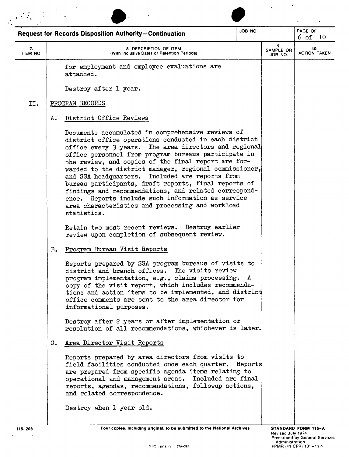|                |    |                                                                                                                                                                                                                                                                                                                                                                                                                                                                                                                                                                                                                                             | JOB NO. |                            | PAGE OF                    |
|----------------|----|---------------------------------------------------------------------------------------------------------------------------------------------------------------------------------------------------------------------------------------------------------------------------------------------------------------------------------------------------------------------------------------------------------------------------------------------------------------------------------------------------------------------------------------------------------------------------------------------------------------------------------------------|---------|----------------------------|----------------------------|
|                |    | <b>Request for Records Disposition Authority-Continuation</b>                                                                                                                                                                                                                                                                                                                                                                                                                                                                                                                                                                               |         |                            | 6 of 10                    |
| 7.<br>ITEM NO. |    | 8. DESCRIPTION OF ITEM<br>(With Inclusive Dates or Retention Periods)                                                                                                                                                                                                                                                                                                                                                                                                                                                                                                                                                                       |         | 9.<br>SAMPLE OR<br>JOB NO. | 10.<br><b>ACTION TAKEN</b> |
|                |    | for employment and employee evaluations are<br>attached.                                                                                                                                                                                                                                                                                                                                                                                                                                                                                                                                                                                    |         |                            |                            |
|                |    | Destroy after 1 year.                                                                                                                                                                                                                                                                                                                                                                                                                                                                                                                                                                                                                       |         |                            |                            |
| II.            |    | PROGRAM RECORDS                                                                                                                                                                                                                                                                                                                                                                                                                                                                                                                                                                                                                             |         |                            |                            |
|                | Α. | District Office Reviews                                                                                                                                                                                                                                                                                                                                                                                                                                                                                                                                                                                                                     |         |                            |                            |
|                |    | Documents accumulated in comprehensive reviews of<br>district office operations conducted in each district<br>office every 3 years. The area directors and regional<br>office personnel from program bureaus participate in<br>the review, and copies of the final report are for-<br>warded to the district manager, regional commissioner,<br>and SSA headquarters. Included are reports from<br>bureau participants, draft reports, final reports of<br>findings and recommendations, and related correspond-<br>Reports include such information as service<br>ence.<br>area characteristics and processing and workload<br>statistics. |         |                            |                            |
|                |    | Destroy earlier<br>Retain two most recent reviews.<br>review upon completion of subsequent review.                                                                                                                                                                                                                                                                                                                                                                                                                                                                                                                                          |         |                            |                            |
|                | в. | Program Bureau Visit Reports                                                                                                                                                                                                                                                                                                                                                                                                                                                                                                                                                                                                                |         |                            |                            |
|                |    | Reports prepared by SSA program bureaus of visits to<br>district and branch offices. The visits review<br>program implementation, e.g., claims processing. A<br>copy of the visit report, which includes recommenda-<br>tions and action items to be implemented, and district<br>office comments are sent to the area director for<br>informational purposes.                                                                                                                                                                                                                                                                              |         |                            |                            |
|                |    | Destroy after 2 years or after implementation or<br>resolution of all recommendations, whichever is later.                                                                                                                                                                                                                                                                                                                                                                                                                                                                                                                                  |         |                            |                            |
|                | С. | Area Director Visit Reports                                                                                                                                                                                                                                                                                                                                                                                                                                                                                                                                                                                                                 |         |                            |                            |
|                |    | Reports prepared by area directors from visits to<br>field facilities conducted once each quarter. Reports<br>are prepared from specific agenda items relating to<br>operational and management areas. Included are final<br>reports, agendas, recommendations, followup actions,<br>and related correspondence.<br>Destroy when 1 year old.                                                                                                                                                                                                                                                                                                |         |                            |                            |
|                |    |                                                                                                                                                                                                                                                                                                                                                                                                                                                                                                                                                                                                                                             |         |                            |                            |
|                |    |                                                                                                                                                                                                                                                                                                                                                                                                                                                                                                                                                                                                                                             |         |                            |                            |

 $\sim$   $\sim$ 

 $\mathbb{R}^2$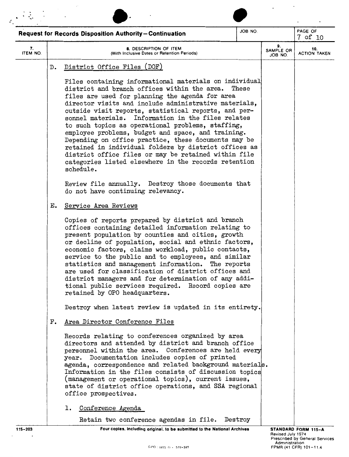|                |               | <b>Request for Records Disposition Authority-Continuation</b>                                                                                                                                                                                                                                                                                                                                                                                                                                                                                                                                                                                                                             | JOB NO. |                            | PAGE OF<br>7 of 10         |
|----------------|---------------|-------------------------------------------------------------------------------------------------------------------------------------------------------------------------------------------------------------------------------------------------------------------------------------------------------------------------------------------------------------------------------------------------------------------------------------------------------------------------------------------------------------------------------------------------------------------------------------------------------------------------------------------------------------------------------------------|---------|----------------------------|----------------------------|
| 7.<br>ITEM NO. |               | 8. DESCRIPTION OF ITEM<br>(With Inclusive Dates or Retention Periods)                                                                                                                                                                                                                                                                                                                                                                                                                                                                                                                                                                                                                     |         | 9.<br>SAMPLE OR<br>JOB NO. | 10.<br><b>ACTION TAKEN</b> |
|                | $D$ .         | District Office Files (DOF)                                                                                                                                                                                                                                                                                                                                                                                                                                                                                                                                                                                                                                                               |         |                            |                            |
|                |               | Files containing informational materials on individual<br>district and branch offices within the area.<br>files are used for planning the agenda for area<br>director visits and include administrative materials,<br>outside visit reports, statistical reports, and per-<br>sonnel materials. Information in the files relates<br>to such topics as operational problems, staffing,<br>employee problems, budget and space, and training.<br>Depending on office practice, these documents may be<br>retained in individual folders by district offices as<br>district office files or may be retained within file<br>categories listed elsewhere in the records retention<br>schedule. | These   |                            |                            |
|                |               | Review file annually. Destroy those documents that<br>do not have continuing relevancy.                                                                                                                                                                                                                                                                                                                                                                                                                                                                                                                                                                                                   |         |                            |                            |
|                | $E_{\bullet}$ | Service Area Reviews                                                                                                                                                                                                                                                                                                                                                                                                                                                                                                                                                                                                                                                                      |         |                            |                            |
|                |               | Copies of reports prepared by district and branch<br>offices containing detailed information relating to<br>present population by counties and cities, growth<br>or decline of population, social and ethnic factors,<br>economic factors, claims workload, public contacts,<br>service to the public and to employees, and similar<br>statistics and management information.<br>The reports<br>are used for classification of district offices and<br>district managers and for determination of any addi-<br>tional public services required. Record copies are<br>retained by OPO headquarters.                                                                                        |         |                            |                            |
|                |               | Destroy when latest review is updated in its entirety.                                                                                                                                                                                                                                                                                                                                                                                                                                                                                                                                                                                                                                    |         |                            |                            |
|                | F.            | Area Director Conference Files                                                                                                                                                                                                                                                                                                                                                                                                                                                                                                                                                                                                                                                            |         |                            |                            |
|                |               | Records relating to conferences organized by area<br>directors and attended by district and branch office<br>personnel within the area. Conferences are held every<br>year. Documentation includes copies of printed<br>agenda, correspondence and related background materials.<br>Information in the files consists of discussion topics<br>(management or operational topics), current issues,<br>state of district office operations, and SSA regional<br>office prospectives.                                                                                                                                                                                                        |         |                            |                            |
|                |               | Conference Agenda<br>1.                                                                                                                                                                                                                                                                                                                                                                                                                                                                                                                                                                                                                                                                   |         |                            |                            |
|                |               | Retain two conference agendas in file. Destroy<br>Four copies, including original, to be submitted to the National Archives                                                                                                                                                                                                                                                                                                                                                                                                                                                                                                                                                               |         |                            | STANDARD FORM 115-A        |

 $\mathcal{A}^{\mathcal{A}}$ 

 $\sim 100$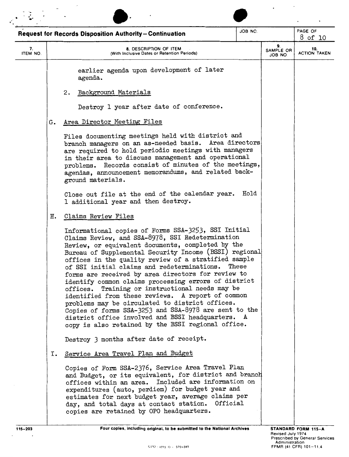|                |                                                                       | Request for Records Disposition Authority-Continuation                                                                                                                                                                                                                                                                                                                                                                                                                                                                                                                                                                                                                                                                                                                     | JOB NO. |  | PAGE OF<br>8 of 10         |
|----------------|-----------------------------------------------------------------------|----------------------------------------------------------------------------------------------------------------------------------------------------------------------------------------------------------------------------------------------------------------------------------------------------------------------------------------------------------------------------------------------------------------------------------------------------------------------------------------------------------------------------------------------------------------------------------------------------------------------------------------------------------------------------------------------------------------------------------------------------------------------------|---------|--|----------------------------|
| 7.<br>ITEM NO. | 8. DESCRIPTION OF ITEM<br>(With Inclusive Dates or Retention Periods) |                                                                                                                                                                                                                                                                                                                                                                                                                                                                                                                                                                                                                                                                                                                                                                            |         |  | 10.<br><b>ACTION TAKEN</b> |
|                |                                                                       | earlier agenda upon development of later<br>agenda.                                                                                                                                                                                                                                                                                                                                                                                                                                                                                                                                                                                                                                                                                                                        |         |  |                            |
|                |                                                                       | Background Materials<br>2.                                                                                                                                                                                                                                                                                                                                                                                                                                                                                                                                                                                                                                                                                                                                                 |         |  |                            |
|                |                                                                       | Destroy 1 year after date of conference.                                                                                                                                                                                                                                                                                                                                                                                                                                                                                                                                                                                                                                                                                                                                   |         |  |                            |
|                | G.                                                                    | Area Director Meeting Files                                                                                                                                                                                                                                                                                                                                                                                                                                                                                                                                                                                                                                                                                                                                                |         |  |                            |
|                |                                                                       | Files documenting meetings held with district and<br>branch managers on an as-needed basis. Area directors<br>are required to hold periodic meetings with managers<br>in their area to discuss management and operational<br>problems. Records consist of minutes of the meetings.<br>agendas, announcement memorandums, and related back-<br>ground materials.                                                                                                                                                                                                                                                                                                                                                                                                            |         |  |                            |
|                |                                                                       | Close out file at the end of the calendar year.<br>1 additional year and then destroy.                                                                                                                                                                                                                                                                                                                                                                                                                                                                                                                                                                                                                                                                                     | Hold    |  |                            |
|                | н.                                                                    | Claims Review Files                                                                                                                                                                                                                                                                                                                                                                                                                                                                                                                                                                                                                                                                                                                                                        |         |  |                            |
|                |                                                                       | Informational copies of Forms SSA-3253, SSI Initial<br>Claims Review, and SSA-8978, SSI Redetermination<br>Review, or equivalent documents, completed by the<br>Bureau of Supplemental Security Income (BSSI) regional<br>offices in the quality review of a stratified sample<br>of SSI initial claims and redeterminations.<br>forms are received by area directors for review to<br>identify common claims processing errors of district<br>offices. Training or instructional needs may be<br>identified from these reviews. A report of common<br>problems may be circulated to district offices.<br>Copies of forms SSA-3253 and SSA-8978 are sent to the<br>district office involved and BSSI headquarters. A<br>copy is also retained by the BSSI regional office. | These   |  |                            |
|                |                                                                       | Destroy 3 months after date of receipt.                                                                                                                                                                                                                                                                                                                                                                                                                                                                                                                                                                                                                                                                                                                                    |         |  |                            |
|                | I.                                                                    | Service Area Travel Plan and Budget<br>Copies of Form SSA-2376, Service Area Travel Plan<br>and Budget, or its equivalent, for district and branch<br>offices within an area. Included are information on<br>expenditures (auto, perdiem) for budget year and<br>estimates for next budget year, average claims per<br>day, and total days at contact station. Official<br>copies are retained by OPO headquarters.                                                                                                                                                                                                                                                                                                                                                        |         |  |                            |
| $115 - 203$    |                                                                       | Four copies, including original, to be submitted to the National Archives                                                                                                                                                                                                                                                                                                                                                                                                                                                                                                                                                                                                                                                                                                  |         |  | STANDARD FORM 115-A        |

 $\sim$ 

 $\mathcal{L}_{\mathcal{A}}$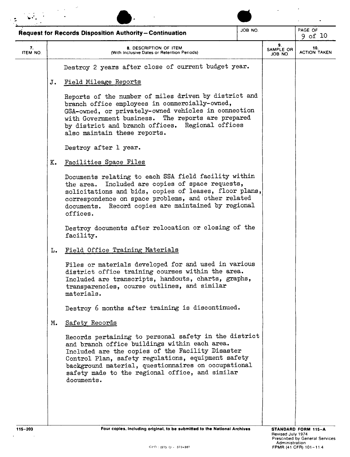|                |    | Request for Records Disposition Authority-Continuation                                                                                                                                                                                                                                                                                   | JOB NO.                    |  | PAGE OF<br>$9$ of $10$ |
|----------------|----|------------------------------------------------------------------------------------------------------------------------------------------------------------------------------------------------------------------------------------------------------------------------------------------------------------------------------------------|----------------------------|--|------------------------|
| 7.<br>ITEM NO. |    | 9.<br>SAMPLE OR<br>JOB NO.                                                                                                                                                                                                                                                                                                               | 10.<br><b>ACTION TAKEN</b> |  |                        |
|                |    | Destroy 2 years after close of current budget year.                                                                                                                                                                                                                                                                                      |                            |  |                        |
|                | J. | Field Mileage Reports                                                                                                                                                                                                                                                                                                                    |                            |  |                        |
|                |    | Reports of the number of miles driven by district and<br>branch office employees in commercially-owned,<br>GSA-owned, or privately-owned vehicles in connection<br>with Government business. The reports are prepared<br>by district and branch offices. Regional offices<br>also maintain these reports.                                |                            |  |                        |
|                |    | Destroy after 1 year.                                                                                                                                                                                                                                                                                                                    |                            |  |                        |
|                | K. | Facilities Space Files                                                                                                                                                                                                                                                                                                                   |                            |  |                        |
|                |    | Documents relating to each SSA field facility within<br>the area. Included are copies of space requests,<br>solicitations and bids, copies of leases, floor plans,<br>correspondence on space problems, and other related<br>Record copies are maintained by regional<br>documents.<br>offices.                                          |                            |  |                        |
|                |    | Destroy documents after relocation or closing of the<br>facility.                                                                                                                                                                                                                                                                        |                            |  |                        |
|                | L. | Field Office Training Materials                                                                                                                                                                                                                                                                                                          |                            |  |                        |
|                |    | Files or materials developed for and used in various<br>district office training courses within the area.<br>Included are transcripts, handouts, charts, graphs,<br>transparencies, course outlines, and similar<br>materials.                                                                                                           |                            |  |                        |
|                |    | Destroy 6 months after training is discontinued.                                                                                                                                                                                                                                                                                         |                            |  |                        |
|                | м. | Safety Records                                                                                                                                                                                                                                                                                                                           |                            |  |                        |
|                |    | Records pertaining to personal safety in the district<br>and branch office buildings within each area.<br>Included are the copies of the Facility Disaster<br>Control Plan, safety regulations, equipment safety<br>background material, questionnaires on occupational<br>safety made to the regional office, and similar<br>documents. |                            |  |                        |

 $\sim 10$ 

 $\ddot{\phantom{a}}$